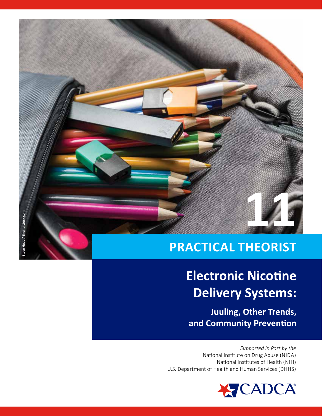**FEFEREE SERVICES** 

## **PRACTICAL THEORIST**

# **Electronic Nicotine Delivery Systems:**

Juuling, Other Trends, and Community Prevention

Supported in Part by the National Institute on Drug Abuse (NIDA) National Institutes of Health (NIH) U.S. Department of Health and Human Services (DHHS)

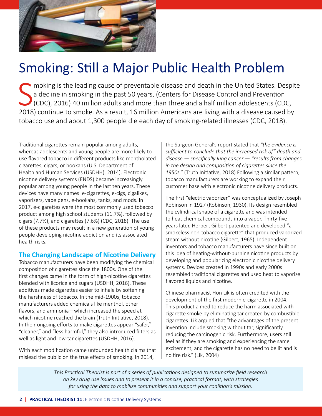

## Smoking: Still a Major Public Health Problem

S moking is the leading cause of preventable disease and death in the United States. Despite a decline in smoking in the past 50 years, (Centers for Disease Control and Prevention (CDC), 2016) 40 million adults and more than three and a half million adolescents (CDC, 2018) continue to smoke. As a result, 16 million Americans are living with a disease caused by tobacco use and about 1,300 people die each day of smoking-related illnesses (CDC, 2018).

Traditional cigarettes remain popular among adults, whereas adolescents and young people are more likely to use flavored tobacco in different products like mentholated cigarettes, cigars, or hookahs (U.S. Department of Health and Human Services (USDHH), 2014). Electronic nicotine delivery systems (ENDS) became increasingly popular among young people in the last ten years. These devices have many names: e-cigarettes, e-cigs, cigalikes, vaporizers, vape pens, e-hookahs, tanks, and mods. In 2017, e-cigarettes were the most commonly used tobacco product among high school students (11.7%), followed by cigars (7.7%), and cigarettes (7.6%) (CDC, 2018). The use of these products may result in a new generation of young people developing nicotine addiction and its associated health risks.

## **The Changing Landscape of Nicotine Delivery**

Tobacco manufacturers have been modifying the chemical composition of cigarettes since the 1800s. One of the first changes came in the form of high-nicotine cigarettes blended with licorice and sugars (USDHH, 2016). These additives made cigarettes easier to inhale by softening the harshness of tobacco. In the mid-1900s, tobacco manufacturers added chemicals like menthol, other flavors, and ammonia—which increased the speed at which nicotine reached the brain (Truth Initiative, 2018). In their ongoing efforts to make cigarettes appear "safer," "cleaner," and "less harmful," they also introduced filters as well as light and low-tar cigarettes (USDHH, 2016).

With each modification came unfounded health claims that mislead the public on the true effects of smoking. In 2014,

the Surgeon General's report stated that *"the evidence is sufficient to conclude that the increased risk of" death and disease — specifically lung cancer — "results from changes in the design and composition of cigarettes since the 1950s."* (Truth Initiative, 2018) Following a similar pattern, tobacco manufacturers are working to expand their customer base with electronic nicotine delivery products.

The first "electric vaporizer" was conceptualized by Joseph Robinson in 1927 (Robinson, 1930). Its design resembled the cylindrical shape of a cigarette and was intended to heat chemical compounds into a vapor. Thirty-five years later, Herbert Gilbert patented and developed "a smokeless non-tobacco cigarette" that produced vaporized steam without nicotine (Gilbert, 1965). Independent inventors and tobacco manufacturers have since built on this idea of heating-without-burning nicotine products by developing and popularizing electronic nicotine delivery systems. Devices created in 1990s and early 2000s resembled traditional cigarettes and used heat to vaporize flavored liquids and nicotine.

Chinese pharmacist Hon Lik is often credited with the development of the first modern e-cigarette in 2004. This product aimed to reduce the harm associated with cigarette smoke by eliminating tar created by combustible cigarettes. Lik argued that "the advantages of the present invention include smoking without tar, significantly reducing the carcinogenic risk. Furthermore, users still feel as if they are smoking and experiencing the same excitement, and the cigarette has no need to be lit and is no fire risk." (Lik, 2004)

*This Practical Theorist is part of a series of publications designed to summarize field research on key drug use issues and to present it in a concise, practical format, with strategies for using the data to mobilize communities and support your coalition's mission.*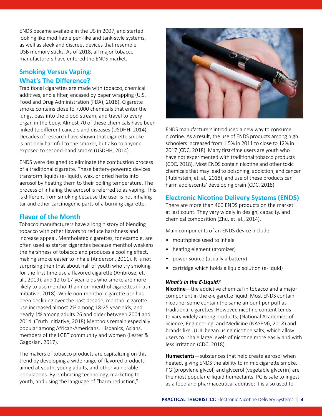ENDS became available in the US in 2007, and started looking like modifiable pen-like and tank-style systems, as well as sleek and discreet devices that resemble USB memory sticks. As of 2018, all major tobacco manufacturers have entered the ENDS market.

## **Smoking Versus Vaping: What's The Difference?**

Traditional cigarettes are made with tobacco, chemical additives, and a filter, encased by paper wrapping (U.S. Food and Drug Administration (FDA), 2018). Cigarette smoke contains close to 7,000 chemicals that enter the lungs, pass into the blood stream, and travel to every organ in the body. Almost 70 of these chemicals have been linked to different cancers and diseases (USDHH, 2014). Decades of research have shown that cigarette smoke is not only harmful to the smoker, but also to anyone exposed to second-hand smoke (USDHH, 2014).

ENDS were designed to eliminate the combustion process of a traditional cigarette. These battery-powered devices transform liquids (e-liquid), wax, or dried herbs into aerosol by heating them to their boiling temperature. The process of inhaling the aerosol is referred to as vaping. This is different from smoking because the user is not inhaling tar and other carcinogenic parts of a burning cigarette.

## **Flavor of the Month**

Tobacco manufacturers have a long history of blending tobacco with other flavors to reduce harshness and increase appeal. Mentholated cigarettes, for example, are often used as starter cigarettes because menthol weakens the harshness of tobacco and produces a cooling effect, making smoke easier to inhale (Anderson, 2011). It is not surprising then that about half of youth who try smoking for the first time use a flavored cigarette (Ambrose, et. al., 2019), and 12 to 17-year-olds who smoke are more likely to use menthol than non-menthol cigarettes (Truth Initiative, 2018). While non-menthol cigarette use has been declining over the past decade, menthol cigarette use increased almost 2% among 18-25 year-olds, and nearly 1% among adults 26 and older between 2004 and 2014. (Truth Initiative, 2018) Menthols remain especially popular among African-Americans, Hispanics, Asians, members of the LGBT community and women (Lester & Gagosian, 2017).

The makers of tobacco products are capitalizing on this trend by developing a wide range of flavored products aimed at youth, young adults, and other vulnerable populations. By embracing technology, marketing to youth, and using the language of "harm reduction,"



ENDS manufacturers introduced a new way to consume nicotine. As a result, the use of ENDS products among high schoolers increased from 1.5% in 2011 to close to 12% in 2017 (CDC, 2018). Many first-time users are youth who have not experimented with traditional tobacco products (CDC, 2018). Most ENDS contain nicotine and other toxic chemicals that may lead to poisoning, addiction, and cancer (Rubinstein, et. al., 2018), and use of these products can harm adolescents' developing brain (CDC, 2018).

## **Electronic Nicotine Delivery Systems (ENDS)**

There are more than 460 ENDS products on the market at last count. They vary widely in design, capacity, and chemical composition (Zhu, et. al., 2014).

Main components of an ENDS device include:

- mouthpiece used to inhale
- heating element (atomizer)
- power source (usually a battery)
- cartridge which holds a liquid solution (e-liquid)

#### *What's in the E-Liquid?*

**Nicotine—**the addictive chemical in tobacco and a major component in the e-cigarette liquid. Most ENDS contain nicotine; some contain the same amount per puff as traditional cigarettes. However, nicotine content tends to vary widely among products; (National Academies of Science, Engineering, and Medicine (NASEM), 2018) and brands like JUUL began using nicotine salts, which allow users to inhale large levels of nicotine more easily and with less irritation (CDC, 2018).

**Humectants—**substances that help create aerosol when heated, giving ENDS the ability to mimic cigarette smoke. PG (propylene glycol) and glycerol (vegetable glycerin) are the most popular e-liquid humectants. PG is safe to ingest as a food and pharmaceutical additive; it is also used to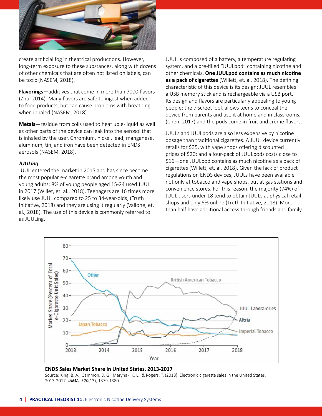

create artificial fog in theatrical productions. However, long-term exposure to these substances, along with dozens of other chemicals that are often not listed on labels, can be toxic (NASEM, 2018).

**Flavorings—**additives that come in more than 7000 flavors (Zhu, 2014). Many flavors are safe to ingest when added to food products, but can cause problems with breathing when inhaled (NASEM, 2018).

**Metals—**residue from coils used to heat up e-liquid as well as other parts of the device can leak into the aerosol that is inhaled by the user. Chromium, nickel, lead, manganese, aluminum, tin, and iron have been detected in ENDS aerosols (NASEM, 2018).

#### *JUULing*

JUUL entered the market in 2015 and has since become the most popular e-cigarette brand among youth and young adults: 8% of young people aged 15-24 used JUUL in 2017 (Willet, et. al., 2018). Teenagers are 16 times more likely use JUUL compared to 25 to 34-year-olds, (Truth Initiative, 2018) and they are using it regularly (Vallone, et. al., 2018). The use of this device is commonly referred to as JUULing.

JUUL is composed of a battery, a temperature regulating system, and a pre-filled "JUULpod" containing nicotine and other chemicals. **One JUULpod contains as much nicotine as a pack of cigarettes** (Willett, et. al. 2018). The defining characteristic of this device is its design: JUUL resembles a USB memory stick and is rechargeable via a USB port. Its design and flavors are particularly appealing to young people: the discreet look allows teens to conceal the device from parents and use it at home and in classrooms, (Chen, 2017) and the pods come in fruit and crème flavors.

JUULs and JUULpods are also less expensive by nicotine dosage than traditional cigarettes. A JUUL device currently retails for \$35, with vape shops offering discounted prices of \$20; and a four-pack of JUULpods costs close to \$16—one JUULpod contains as much nicotine as a pack of cigarettes (Willett, et. al. 2018). Given the lack of product regulations on ENDS devices, JUULs have been available not only at tobacco and vape shops, but at gas stations and convenience stores. For this reason, the majority (74%) of JUUL users under 18 tend to obtain JUULs at physical retail shops and only 6% online (Truth Initiative, 2018). More than half have additional access through friends and family.



#### **ENDS Sales Market Share in United States, 2013-2017**

Source: King, B. A., Gammon, D. G., Marynak, K. L., & Rogers, T. (2018). Electronic cigarette sales in the United States, 2013-2017. *JAMA, 320*(13), 1379-1380.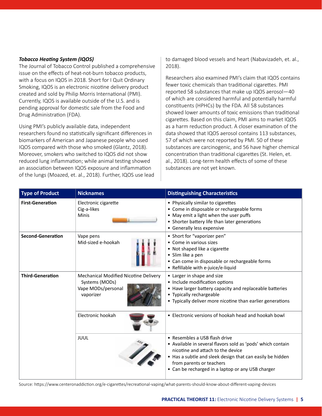### *Tobacco Heating System (IQOS)*

The Journal of Tobacco Control published a comprehensive issue on the effects of heat-not-burn tobacco products, with a focus on IQOS in 2018. Short for I Quit Ordinary Smoking, IQOS is an electronic nicotine delivery product created and sold by Philip Morris International (PMI). Currently, IQOS is available outside of the U.S. and is pending approval for domestic sale from the Food and Drug Administration (FDA).

Using PMI's publicly available data, independent researchers found no statistically significant differences in biomarkers of American and Japanese people who used IQOS compared with those who smoked (Glantz, 2018). Moreover, smokers who switched to IQOS did not show reduced lung inflammation; while animal testing showed an association between IQOS exposure and inflammation of the lungs (Moazed, et. al., 2018). Further, IQOS use lead to damaged blood vessels and heart (Nabavizadeh, et. al., 2018).

Researchers also examined PMI's claim that IQOS contains fewer toxic chemicals than traditional cigarettes. PMI reported 58 substances that make up IQOS aerosol—40 of which are considered harmful and potentially harmful constituents (HPHCs) by the FDA. All 58 substances showed lower amounts of toxic emissions than traditional cigarettes. Based on this claim, PMI aims to market IQOS as a harm reduction product. A closer examination of the data showed that IQOS aerosol contains 113 substances, 57 of which were not reported by PMI. 50 of these substances are carcinogenic, and 56 have higher chemical concentration than traditional cigarettes (St. Helen, et. al., 2018). Long-term health effects of some of these substances are not yet known.

| <b>Type of Product</b>   | <b>Nicknames</b>                                                                           | <b>Distinguishing Characteristics</b>                                                                                                                                                                                                                                           |
|--------------------------|--------------------------------------------------------------------------------------------|---------------------------------------------------------------------------------------------------------------------------------------------------------------------------------------------------------------------------------------------------------------------------------|
| <b>First-Generation</b>  | Electronic cigarette<br>Cig-a-likes<br>Minis                                               | • Physically similar to cigarettes<br>• Come in disposable or rechargeable forms<br>• May emit a light when the user puffs<br>• Shorter battery life than later generations<br>• Generally less expensive                                                                       |
| <b>Second-Generation</b> | Vape pens<br>Mid-sized e-hookah                                                            | • Short for "vaporizer pen"<br>• Come in various sizes<br>• Not shaped like a cigarette<br>• Slim like a pen<br>• Can come in disposable or rechargeable forms<br>• Refillable with e-juice/e-liquid                                                                            |
| <b>Third-Generation</b>  | Mechanical Modified Nicotine Delivery<br>Systems (MODs)<br>Vape MODs/personal<br>vaporizer | • Larger in shape and size<br>• Include modification options<br>• Have larger battery capacity and replaceable batteries<br>Typically rechargeable<br>$\bullet$<br>• Typically deliver more nicotine than earlier generations                                                   |
|                          | Electronic hookah                                                                          | • Electronic versions of hookah head and hookah bowl                                                                                                                                                                                                                            |
|                          | JUUL                                                                                       | • Resembles a USB flash drive<br>• Available in several flavors sold as 'pods' which contain<br>nicotine and attach to the device<br>• Has a subtle and sleek design that can easily be hidden<br>from parents or teachers<br>• Can be recharged in a laptop or any USB charger |

Source: https://www.centeronaddiction.org/e-cigarettes/recreational-vaping/what-parents-should-know-about-different-vaping-devices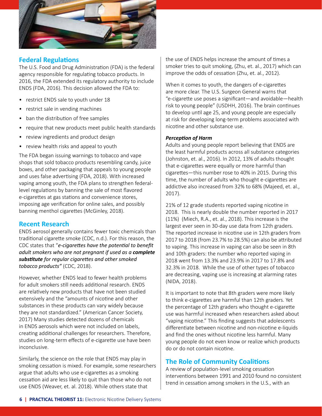

## **Federal Regulations**

The U.S. Food and Drug Administration (FDA) is the federal agency responsible for regulating tobacco products. In 2016, the FDA extended its regulatory authority to include ENDS (FDA, 2016). This decision allowed the FDA to:

- restrict ENDS sale to youth under 18
- restrict sale in vending machines
- ban the distribution of free samples
- require that new products meet public health standards
- review ingredients and product design
- review health risks and appeal to youth

The FDA began issuing warnings to tobacco and vape shops that sold tobacco products resembling candy, juice boxes, and other packaging that appeals to young people and uses false advertising (FDA, 2018). With increased vaping among youth, the FDA plans to strengthen federallevel regulations by banning the sale of most flavored e-cigarettes at gas stations and convenience stores, imposing age verification for online sales, and possibly banning menthol cigarettes (McGinley, 2018).

## **Recent Research**

ENDS aerosol generally contains fewer toxic chemicals than traditional cigarette smoke (CDC, n.d.). For this reason, the CDC states that "*e-cigarettes have the potential to benefit adult smokers who are not pregnant if used as a complete substitute for regular cigarettes and other smoked tobacco products"* (CDC, 2018).

However, whether ENDS lead to fewer health problems for adult smokers still needs additional research. ENDS are relatively new products that have not been studied extensively and the "amounts of nicotine and other substances in these products can vary widely because they are not standardized." (American Cancer Society, 2017) Many studies detected dozens of chemicals in ENDS aerosols which were not included on labels, creating additional challenges for researchers. Therefore, studies on long-term effects of e-cigarette use have been inconclusive.

Similarly, the science on the role that ENDS may play in smoking cessation is mixed. For example, some researchers argue that adults who use e-cigarettes as a smoking cessation aid are less likely to quit than those who do not use ENDS (Weaver, et. al. 2018). While others state that

the use of ENDS helps increase the amount of times a smoker tries to quit smoking, (Zhu, et. al., 2017) which can improve the odds of cessation (Zhu, et. al., 2012).

When it comes to youth, the dangers of e-cigarettes are more clear. The U.S. Surgeon General warns that "e-cigarette use poses a significant—and avoidable—health risk to young people" (USDHH, 2016). The brain continues to develop until age 25, and young people are especially at risk for developing long-term problems associated with nicotine and other substance use.

### *Perception of Harm*

Adults and young people report believing that ENDS are the least harmful products across all substance categories (Johnston, et. al., 2016). In 2012, 13% of adults thought that e-cigarettes were equally or more harmful than cigarettes—this number rose to 40% in 2015. During this time, the number of adults who thought e-cigarettes are addictive also increased from 32% to 68% (Majeed, et. al., 2017).

21% of 12 grade students reported vaping nicotine in 2018. This is nearly double the number reported in 2017 (11%) (Miech, R.A., et. al., 2018). This increase is the largest ever seen in 30-day use data from 12th graders. The reported increase in nicotine use in 12th graders from 2017 to 2018 (from 23.7% to 28.5%) can also be attributed to vaping. This increase in vaping can also be seen in 8th and 10th graders: the number who reported vaping in 2018 went from 13.3% and 23.9% in 2017 to 17.8% and 32.3% in 2018. While the use of other types of tobacco are decreasing, vaping use is increasing at alarming rates (NIDA, 2018).

It is important to note that 8th graders were more likely to think e-cigarettes are harmful than 12th graders. Yet the percentage of 12th graders who thought e-cigarette use was harmful increased when researchers asked about "vaping nicotine." This finding suggests that adolescents differentiate between nicotine and non-nicotine e-liquids and find the ones without nicotine less harmful. Many young people do not even know or realize which products do or do not contain nicotine.

## **The Role of Community Coalitions**

A review of population-level smoking cessation interventions between 1991 and 2010 found no consistent trend in cessation among smokers in the U.S., with an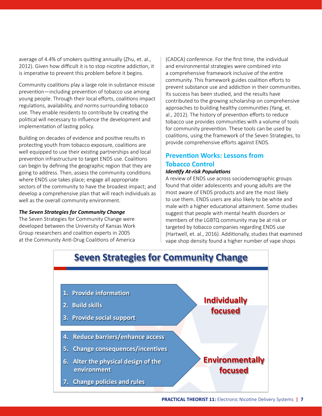average of 4.4% of smokers quitting annually (Zhu, et. al., 2012). Given how difficult it is to stop nicotine addiction, it is imperative to prevent this problem before it begins.

Community coalitions play a large role in substance misuse prevention—including prevention of tobacco use among young people. Through their local efforts, coalitions impact regulations, availability, and norms surrounding tobacco use. They enable residents to contribute by creating the political will necessary to influence the development and implementation of lasting policy.

Building on decades of evidence and positive results in protecting youth from tobacco exposure, coalitions are well equipped to use their existing partnerships and local prevention infrastructure to target ENDS use. Coalitions can begin by defining the geographic region that they are going to address. Then, assess the community conditions where ENDS use takes place; engage all appropriate sectors of the community to have the broadest impact; and develop a comprehensive plan that will reach individuals as well as the overall community environment.

#### *The Seven Strategies for Community Change*

The Seven Strategies for Community Change were developed between the University of Kansas Work Group researchers and coalition experts in 2005 at the Community Anti-Drug Coalitions of America

(CADCA) conference. For the first time, the individual and environmental strategies were combined into a comprehensive framework inclusive of the entire community. This framework guides coalition efforts to prevent substance use and addiction in their communities. Its success has been studied, and the results have contributed to the growing scholarship on comprehensive approaches to building healthy communities (Yang, et. al., 2012). The history of prevention efforts to reduce tobacco use provides communities with a volume of tools for community prevention. These tools can be used by coalitions, using the framework of the Seven Strategies, to provide comprehensive efforts against ENDS.

## **Prevention Works: Lessons from Tobacco Control**

#### *Identify At-risk Populations*

A review of ENDS use across sociodemographic groups found that older adolescents and young adults are the most aware of ENDS products and are the most likely to use them. ENDS users are also likely to be white and male with a higher educational attainment. Some studies suggest that people with mental health disorders or members of the LGBTQ community may be at risk or targeted by tobacco companies regarding ENDS use (Hartwell, et. al., 2016). Additionally, studies that examined vape shop density found a higher number of vape shops

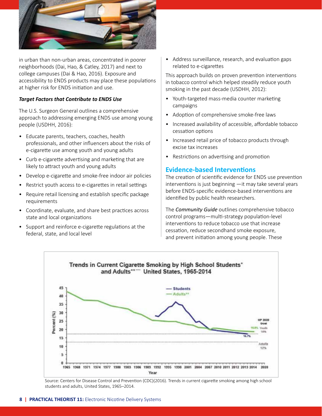

in urban than non-urban areas, concentrated in poorer neighborhoods (Dai, Hao, & Catley, 2017) and next to college campuses (Dai & Hao, 2016). Exposure and accessibility to ENDS products may place these populations at higher risk for ENDS initiation and use.

#### *Target Factors that Contribute to ENDS Use*

The U.S. Surgeon General outlines a comprehensive approach to addressing emerging ENDS use among young people (USDHH, 2016):

- Educate parents, teachers, coaches, health professionals, and other influencers about the risks of e-cigarette use among youth and young adults
- Curb e-cigarette advertising and marketing that are likely to attract youth and young adults
- Develop e-cigarette and smoke-free indoor air policies
- Restrict youth access to e-cigarettes in retail settings
- Require retail licensing and establish specific package requirements
- Coordinate, evaluate, and share best practices across state and local organizations
- Support and reinforce e-cigarette regulations at the federal, state, and local level

• Address surveillance, research, and evaluation gaps related to e-cigarettes

This approach builds on proven prevention interventions in tobacco control which helped steadily reduce youth smoking in the past decade (USDHH, 2012):

- Youth-targeted mass-media counter marketing campaigns
- Adoption of comprehensive smoke-free laws
- Increased availability of accessible, affordable tobacco cessation options
- Increased retail price of tobacco products through excise tax increases
- Restrictions on advertising and promotion

## **Evidence-based Interventions**

The creation of scientific evidence for ENDS use prevention interventions is just beginning —it may take several years before ENDS-specific evidence-based interventions are identified by public health researchers.

The *Community Guide* outlines comprehensive tobacco control programs—multi-strategy population-level interventions to reduce tobacco use that increase cessation, reduce secondhand smoke exposure, and prevent initiation among young people. These



Source: Centers for Disease Control and Prevention (CDC)(2016). Trends in current cigarette smoking among high school students and adults, United States, 1965–2014.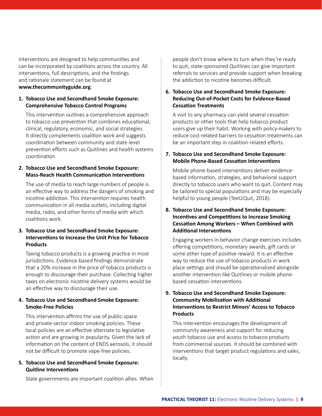interventions are designed to help communities and can be incorporated by coalitions across the country. All interventions, full descriptions, and the findings and rationale statement can be found at **www.thecommunityguide.org**.

#### **1. Tobacco Use and Secondhand Smoke Exposure: Comprehensive Tobacco Control Programs**

This intervention outlines a comprehensive approach to tobacco use prevention that combines educational, clinical, regulatory, economic, and social strategies. It directly complements coalition work and suggests coordination between community and state-level prevention efforts such as Quitlines and health systems coordination.

### **2. Tobacco Use and Secondhand Smoke Exposure: Mass-Reach Health Communication Interventions**

The use of media to reach large numbers of people is an effective way to address the dangers of smoking and nicotine addiction. This intervention requires health communication in all media outlets, including digital media, radio, and other forms of media with which coalitions work.

### **3. Tobacco Use and Secondhand Smoke Exposure: Interventions to Increase the Unit Price for Tobacco Products**

Taxing tobacco products is a growing practice in most jurisdictions. Evidence-based findings demonstrate that a 20% increase in the price of tobacco products is enough to discourage their purchase. Collecting higher taxes on electronic nicotine delivery systems would be an effective way to discourage their use.

### **4. Tobacco Use and Secondhand Smoke Exposure: Smoke-Free Policies**

This intervention affirms the use of public-space and private-sector indoor smoking policies. These local policies are an effective alternate to legislative action and are growing in popularity. Given the lack of information on the content of ENDS aerosols, it should not be difficult to promote vape-free policies.

## **5. Tobacco Use and Secondhand Smoke Exposure: Quitline Interventions**

State governments are important coalition allies. When

people don't know where to turn when they're ready to quit, state-sponsored Quitlines can give important referrals to services and provide support when breaking the addiction to nicotine becomes difficult.

## **6. Tobacco Use and Secondhand Smoke Exposure: Reducing Out-of-Pocket Costs for Evidence-Based Cessation Treatments**

A visit to any pharmacy can yield several cessation products or other tools that help tobacco product users give up their habit. Working with policy-makers to reduce cost-related barriers to cessation treatments can be an important step in coalition-related efforts.

## **7. Tobacco Use and Secondhand Smoke Exposure: Mobile Phone-Based Cessation Interventions**

Mobile phone-based interventions deliver evidencebased information, strategies, and behavioral support directly to tobacco users who want to quit. Content may be tailored to special populations and may be especially helpful to young people (Text2Quit, 2018).

## **8. Tobacco Use and Secondhand Smoke Exposure: Incentives and Competitions to Increase Smoking Cessation Among Workers – When Combined with Additional Interventions**

Engaging workers in behavior change exercises includes offering competitions, monetary awards, gift cards or some other type of positive reward. It is an effective way to reduce the use of tobacco products in work place settings and should be operationalized alongside another intervention like Quitlines or mobile phonebased cessation interventions.

## **9. Tobacco Use and Secondhand Smoke Exposure: Community Mobilization with Additional Interventions to Restrict Minors' Access to Tobacco Products**

This intervention encourages the development of community awareness and support for reducing youth tobacco use and access to tobacco products from commercial sources. It should be combined with interventions that target product regulations and sales, locally.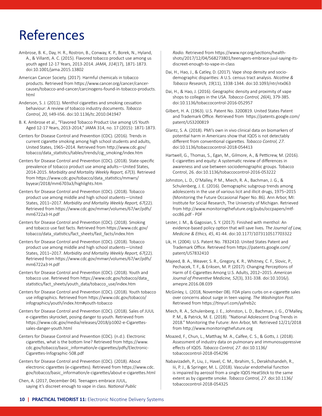## References

- Ambrose, B. K., Day, H. R., Rostron, B., Conway, K. P., Borek, N., Hyland, A., & Villanti, A. C. (2015). Flavored tobacco product use among us youth aged 12-17 Years, 2013-2014. *JAMA, 314*(17), 1871-1873. doi:10.1001/jama.2015.13802
- American Cancer Society. (2017). Harmful chemicals in tobacco products. Retrieved from https://www.cancer.org/cancer/cancercauses/tobacco-and-cancer/carcinogens-found-in-tobacco-products. html

Anderson, S. J. (2011). Menthol cigarettes and smoking cessation behaviour: A review of tobacco industry documents. *Tobacco Control, 20*, Ii49-Ii56. doi:10.1136/tc.2010.041947

- B. K. Ambrose et al., "Flavored Tobacco Product Use among US Youth Aged 12-17 Years, 2013-2014," JAMA 314, no. 17 (2015): 1871-1873.
- Centers for Disease Control and Prevention (CDC). (2016). Trends in current cigarette smoking among high school students and adults, United States, 1965–2014. Retrieved from http://www.cdc.gov/ tobacco/data\_statistics/tables/trends/cig\_smoking/index.htm
- Centers for Disease Control and Prevention (CDC). (2018). State-specific prevalence of tobacco product use among adults—United States, 2014-2015. *Morbidity and Mortality Weekly Report, 67*(3). Retrieved from https://www.cdc.gov/tobacco/data\_statistics/mmwrs/ byyear/2018/mm6703a3/highlights.htm
- Centers for Disease Control and Prevention (CDC). (2018). Tobacco product use among middle and high school students—United States, 2011–2017. *Morbidity and Mortality Weekly Report, 67*(22). Retrieved from https://www.cdc.gov/mmwr/volumes/67/wr/pdfs/ mm6722a3-H.pdf
- Centers for Disease Control and Prevention (CDC). (2018). Smoking and tobacco use fast facts. Retrieved from https://www.cdc.gov/ tobacco/data\_statistics/fact\_sheets/fast\_facts/index.htm
- Centers for Disease Control and Prevention (CDC). (2018). Tobacco product use among middle and high school students—United States, 2011–2017. *Morbidity and Mortality Weekly Report, 67*(22). Retrieved from https://www.cdc.gov/mmwr/volumes/67/wr/pdfs/ mm6722a3-H.pdf
- Centers for Disease Control and Prevention (CDC). (2018). Youth and tobacco use. Retrieved from https://www.cdc.gov/tobacco/data\_ statistics/fact\_sheets/youth\_data/tobacco\_use/index.htm
- Centers for Disease Control and Prevention (CDC). (2018). Youth tobacco use infographics. Retrieved from https://www.cdc.gov/tobacco/ infographics/youth/index.htm#youth-tobacco
- Centers for Disease Control and Prevention (CDC). (2018). Sales of JUUL e-cigarettes skyrocket, posing danger to youth. Retrieved from https://www.cdc.gov/media/releases/2018/p1002-e-Cigarettessales-danger-youth.html
- Centers for Disease Control and Prevention (CDC). (n.d.). Electronic cigarettes, what is the bottom line? Retrieved from https://www. cdc.gov/tobacco/basic\_information/e-cigarettes/pdfs/Electronic-Cigarettes-Infographic-508.pdf
- Centers for Disease Control and Prevention (CDC). (2018). About electronic cigarettes (e-cigarettes). Retrieved from https://www.cdc. gov/tobacco/basic\_information/e-cigarettes/about-e-cigarettes.html
- Chen, A. (2017, December 04). Teenagers embrace JUUL, saying it's discreet enough to vape in class. *National Public*

*Radio.* Retrieved from https://www.npr.org/sections/healthshots/2017/12/04/568273801/teenagers-embrace-juul-saying-itsdiscreet-enough-to-vape-in-class

- Dai, H., Hao, J., & Catley, D. (2017). Vape shop density and sociodemographic disparities: A U.S. census tract analysis. *Nicotine & Tobacco Research, 19*(11), 1338-1344. doi:10.1093/ntr/ntx063
- Dai, H., & Hao, J. (2016). Geographic density and proximity of vape shops to colleges in the USA. *Tobacco Control, 26*(4), 379-385. doi:10.1136/tobaccocontrol-2016-052957
- Gilbert, H. A. (1963). U.S. Patent No. 3200819. United States Patent and Trademark Office. Retrieved from https://patents.google.com/ patent/US3200819
- Glantz, S. A. (2018). PMI's own in vivo clinical data on biomarkers of potential harm in Americans show that IQOS is not detectably different from conventional cigarettes. *Tobacco Control, 27*. doi:10.1136/tobaccocontrol-2018-054413
- Hartwell, G., Thomas, S., Egan, M., Gilmore, A., & Petticrew, M. (2016). E-cigarettes and equity: A systematic review of differences in awareness and use between sociodemographic groups. Tobacco Control, 26. doi:10.1136/tobaccocontrol-2016-053222
- Johnston, L. D., O'Malley, P. M., Miech, R. A., Bachman, J. G., & Schulenberg, J. E. (2016). Demographic subgroup trends among adolescents in the use of various licit and illicit drugs, 1975–2015 (Monitoring the Future Occasional Paper No. 86). Ann Arbor, MI: Institute for Social Research, The University of Michigan. Retrieved from http://www.monitoringthefuture.org/pubs/occpapers/mtfocc86.pdf - PDF
- Lester, J. M., & Gagosian, S. Y. (2017). Finished with menthol: An evidence-based policy option that will save lives*. The Journal of Law, Medicine & Ethics, 45*, 41-44. doi:10.1177/1073110517703322
- Lik, H. (2004). U.S. Patent No. 7832410. United States Patent and Trademark Office. Retrieved from https://patents.google.com/ patent/US7832410
- Majeed, B. A., Weaver, S. R., Gregory, K. R., Whitney, C. F., Slovic, P., Pechacek, T. F., & Eriksen, M. P. (2017). Changing Perceptions of Harm of E-Cigarettes Among U.S. Adults, 2012–2015. *American Journal of Preventive Medicine, 52*(3), 331-338. doi:10.1016/j. amepre.2016.08.039
- McGinley, L. (2018, November 08). FDA plans curbs on e-cigarette sales over concerns about surge in teen vaping. *The Washington Post.*  Retrieved from https://tinyurl.com/yafreb2c
- Miech, R. A., Schulenberg, J. E., Johnston, L. D., Bachman, J. G., O'Malley, P. M., & Patrick, M. E. (2018). "National Adolescent Drug Trends in 2018." Monitoring the Future: Ann Arbor, MI. Retrieved 12/21/2018 from http://www.monitoringthefuture.org
- Moazed, F., Chun, L., Matthay, M. A., Calfee, C. S., & Gotts, J. (2018). Assessment of industry data on pulmonary and immunosuppressive effects of IQOS. *Tobacco Control, 27*. doi:10.1136/ tobaccocontrol-2018-054296
- Nabavizadeh, P., Liu, J., Havel, C. M., Ibrahim, S., Derakhshandeh, R., Iii, P. J., & Springer, M. L. (2018). Vascular endothelial function is impaired by aerosol from a single IQOS HeatStick to the same extent as by cigarette smoke. *Tobacco Control, 27*. doi:10.1136/ tobaccocontrol-2018-054325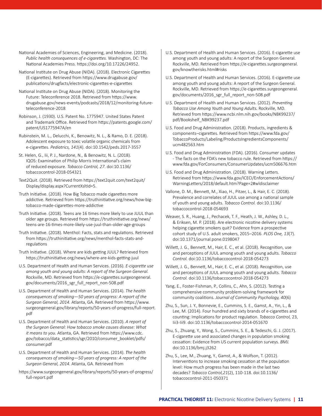National Academies of Sciences, Engineering, and Medicine. (2018). *Public health consequences of e-cigarettes.* Washington, DC: The National Academies Press. https://doi.org/10.17226/24952.

National Institute on Drug Abuse (NIDA). (2018). Electronic Cigarettes (E-cigarettes). Retrieved from https://www.drugabuse.gov/ publications/drugfacts/electronic-cigarettes-e-cigarettes

National Institute on Drug Abuse (NIDA). (2018). Monitoring the Future: Teleconference 2018. Retrieved from https://www. drugabuse.gov/news-events/podcasts/2018/12/monitoring-futureteleconference-2018

Robinson, J. (1930). U.S. Patent No. 1775947. United States Patent and Trademark Office. Retrieved from https://patents.google.com/ patent/US1775947A/en

Rubinstein, M. L., Delucchi, K., Benowitz, N. L., & Ramo, D. E. (2018). Adolescent exposure to toxic volatile organic chemicals from e-cigarettes. *Pediatrics, 141*(4). doi:10.1542/peds.2017-3557

St. Helen, G., Iii, P. J., Nardone, N., & Benowitz, N. L. (2018). IQOS: Examination of Philip Morris International's claim of reduced exposure. *Tobacco Control, 27*. doi:10.1136/ tobaccocontrol-2018-054321

Text2Quit. (2018). Retrieved from https://text2quit.com/text2quit/ Display/display.aspx?CurrentXsltId=5.

Truth Initiative. (2018). How Big Tobacco made cigarettes more addictive. Retrieved from https://truthinitiative.org/news/how-bigtobacco-made-cigarettes-more-addictive

Truth Initiative. (2018). Teens are 16 times more likely to use JUUL than older age groups. Retrieved from https://truthinitiative.org/news/ teens-are-16-times-more-likely-use-juul-than-older-age-groups

Truth Initiative. (2018). Menthol: Facts, stats and regulations. Retrieved from https://truthinitiative.org/news/menthol-facts-stats-andregulations

Truth Initiative. (2018). Where are kids getting JUUL? Retrieved from https://truthinitiative.org/news/where-are-kids-getting-juul

U.S. Department of Health and Human Services. (2016). *E-cigarette use among youth and young adults: A report of the Surgeon General.*  Rockville, MD. Retrieved from https://e-cigarettes.surgeongeneral. gov/documents/2016\_sgr\_full\_report\_non-508.pdf

U.S. Department of Health and Human Services. (2014). *The health consequences of smoking—50 years of progress: A report of the Surgeon General, 2014.* Atlanta, GA. Retrieved from https://www. surgeongeneral.gov/library/reports/50-years-of-progress/full-report. pdf

U.S. Department of Health and Human Services. (2010). *A report of the Surgeon General: How tobacco smoke causes disease: What it means to you.* Atlanta, GA. Retrieved from https://www.cdc. gov/tobacco/data\_statistics/sgr/2010/consumer\_booklet/pdfs/ consumer.pdf

U.S. Department of Health and Human Services. (2014). *The health consequences of smoking—50 years of progress: A report of the Surgeon General, 2014.* Atlanta, GA. Retrieved from

https://www.surgeongeneral.gov/library/reports/50-years-of-progress/ full-report.pdf

- U.S. Department of Health and Human Services. (2016). E-cigarette use among youth and young adults: A report of the Surgeon General. Rockville, MD. Retrieved from https://e-cigarettes.surgeongeneral. gov/knowtherisks.html#risks
- U.S. Department of Health and Human Services. (2016). E-cigarette use among youth and young adults: A report of the Surgeon General. Rockville, MD. Retrieved from https://e-cigarettes.surgeongeneral. gov/documents/2016\_sgr\_full\_report\_non-508.pdf

U.S. Department of Health and Human Services. (2012). *Preventing Tobacco Use Among Youth and Young Adults.* Rockville, MD. Retrieved from https://www.ncbi.nlm.nih.gov/books/NBK99237/ pdf/Bookshelf\_NBK99237.pdf

U.S. Food and Drug Administration. (2018). Products, ingredients & components–cigarettes. Retrieved from https://www.fda.gov/ TobaccoProducts/Labeling/ProductsIngredientsComponents/ ucm482563.htm

U.S. Food and Drug Administration (FDA). (2016). Consumer updates - The facts on the FDA's new tobacco rule. Retrieved from https:// www.fda.gov/ForConsumers/ConsumerUpdates/ucm506676.htm

U.S. Food and Drug Administration. (2018). Warning Letters. Retrieved from https://www.fda.gov/ICECI/EnforcementActions/ WarningLetters/2018/default.htm?Page=2#wldisclaimer

Vallone, D. M., Bennett, M., Xiao, H., Pitzer, L., & Hair, E. C. (2018). Prevalence and correlates of JUUL use among a national sample of youth and young adults. *Tobacco Control.* doi:10.1136/ tobaccocontrol-2018-054693

Weaver, S. R., Huang, J., Pechacek, T. F., Heath, J. W., Ashley, D. L., & Eriksen, M. P. (2018). Are electronic nicotine delivery systems helping cigarette smokers quit? Evidence from a prospective cohort study of U.S. adult smokers, 2015–2016. *PLOS One, 13*(7). doi:10.1371/journal.pone.0198047

Willett, J. G., Bennett, M., Hair, E. C., et al. (2018). Recognition, use and perceptions of JUUL among youth and young adults. *Tobacco Control.* doi:10.1136/tobaccocontrol-2018-054273

Willett, J. G., Bennett, M., Hair, E. C., et al. (2018). Recognition, use and perceptions of JUUL among youth and young adults. *Tobacco Control.* doi:10.1136/tobaccocontrol-2018-054273

Yang, E., Foster-Fishman, P., Collins, C., Ahn, S. (2012). Testing a comprehensive community problem-solving framework for community coalitions. *Journal of Community Psychology, 40*(6)

Zhu, S., Sun, J. Y., Bonnevie, E., Cummins, S. E., Gamst, A., Yin, L., & Lee, M. (2014). Four hundred and sixty brands of e-cigarettes and counting: Implications for product regulation. *Tobacco Control,* 23, Iii3-Iii9. doi:10.1136/tobaccocontrol-2014-051670

Zhu, S., Zhuang, Y., Wong, S., Cummins, S. E., & Tedeschi, G. J. (2017). E-cigarette use and associated changes in population smoking cessation: Evidence from US current population surveys. *BMJ.* doi:10.1136/bmj.j3262

Zhu, S., Lee, M., Zhuang, Y., Gamst, A., & Wolfson, T. (2012). Interventions to increase smoking cessation at the population level: How much progress has been made in the last two decades? *Tobacco Control,21*(2), 110-118. doi:10.1136/ tobaccocontrol-2011-050371